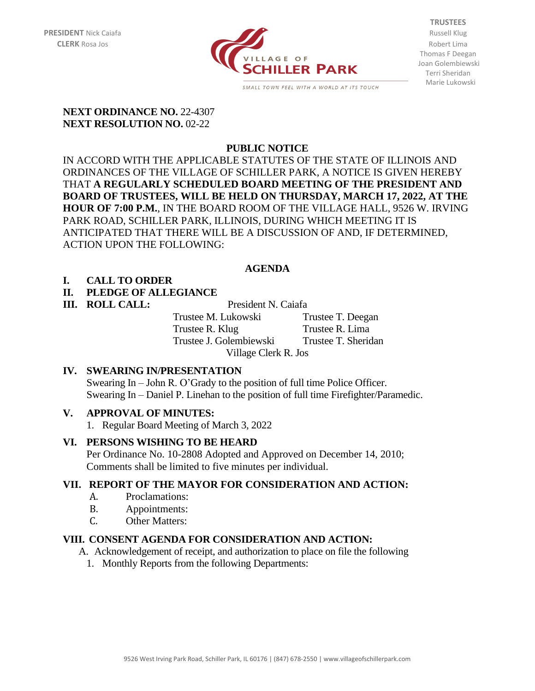

**TRUSTEES** Thomas F Deegan Joan Golembiewski Terri Sheridan Marie Lukowski

#### **NEXT ORDINANCE NO.** 22-4307 **NEXT RESOLUTION NO. 02-22**

## **PUBLIC NOTICE**

IN ACCORD WITH THE APPLICABLE STATUTES OF THE STATE OF ILLINOIS AND ORDINANCES OF THE VILLAGE OF SCHILLER PARK, A NOTICE IS GIVEN HEREBY THAT **A REGULARLY SCHEDULED BOARD MEETING OF THE PRESIDENT AND BOARD OF TRUSTEES, WILL BE HELD ON THURSDAY, MARCH 17, 2022, AT THE HOUR OF 7:00 P.M.**, IN THE BOARD ROOM OF THE VILLAGE HALL, 9526 W. IRVING PARK ROAD, SCHILLER PARK, ILLINOIS, DURING WHICH MEETING IT IS ANTICIPATED THAT THERE WILL BE A DISCUSSION OF AND, IF DETERMINED, ACTION UPON THE FOLLOWING:

## **AGENDA**

## **I. CALL TO ORDER**

## **II. PLEDGE OF ALLEGIANCE**

**III. ROLL CALL:** President N. Caiafa

Trustee M. Lukowski Trustee T. Deegan Trustee R. Klug Trustee R. Lima Trustee J. Golembiewski Trustee T. Sheridan

Village Clerk R. Jos

## **IV. SWEARING IN/PRESENTATION**

Swearing In – John R. O'Grady to the position of full time Police Officer. Swearing In – Daniel P. Linehan to the position of full time Firefighter/Paramedic.

## **V. APPROVAL OF MINUTES:**

1. Regular Board Meeting of March 3, 2022

## **VI. PERSONS WISHING TO BE HEARD**

Per Ordinance No. 10-2808 Adopted and Approved on December 14, 2010; Comments shall be limited to five minutes per individual.

## **VII. REPORT OF THE MAYOR FOR CONSIDERATION AND ACTION:**

- A. Proclamations:
- B. Appointments:
- C. Other Matters:

## **VIII. CONSENT AGENDA FOR CONSIDERATION AND ACTION:**

A. Acknowledgement of receipt, and authorization to place on file the following

1. Monthly Reports from the following Departments: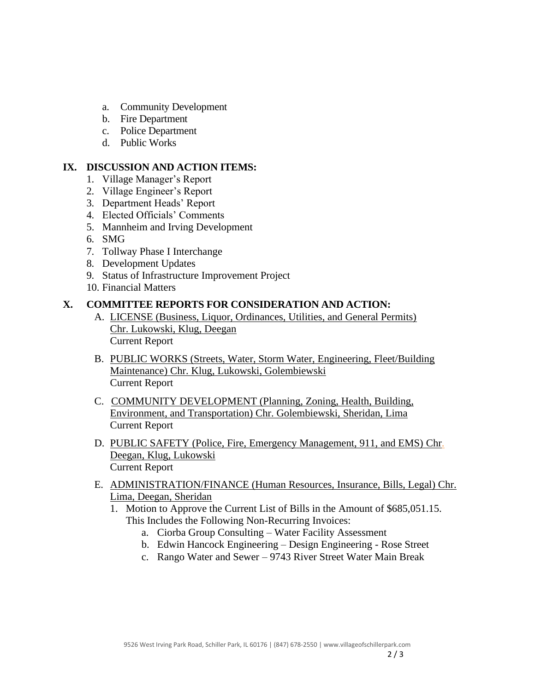- a. Community Development
- b. Fire Department
- c. Police Department
- d. Public Works

### **IX. DISCUSSION AND ACTION ITEMS:**

- 1. Village Manager's Report
- 2. Village Engineer's Report
- 3. Department Heads' Report
- 4. Elected Officials' Comments
- 5. Mannheim and Irving Development
- 6. SMG
- 7. Tollway Phase I Interchange
- 8. Development Updates
- 9. Status of Infrastructure Improvement Project
- 10. Financial Matters

## **X. COMMITTEE REPORTS FOR CONSIDERATION AND ACTION:**

- A. LICENSE (Business, Liquor, Ordinances, Utilities, and General Permits) Chr. Lukowski, Klug, Deegan Current Report
- B. PUBLIC WORKS (Streets, Water, Storm Water, Engineering, Fleet/Building Maintenance) Chr. Klug, Lukowski, Golembiewski Current Report
- C. COMMUNITY DEVELOPMENT (Planning, Zoning, Health, Building, Environment, and Transportation) Chr. Golembiewski, Sheridan, Lima Current Report
- D. PUBLIC SAFETY (Police, Fire, Emergency Management, 911, and EMS) Chr. Deegan, Klug, Lukowski Current Report
- E. ADMINISTRATION/FINANCE (Human Resources, Insurance, Bills, Legal) Chr. Lima, Deegan, Sheridan
	- 1. Motion to Approve the Current List of Bills in the Amount of \$685,051.15. This Includes the Following Non-Recurring Invoices:
		- a. Ciorba Group Consulting Water Facility Assessment
		- b. Edwin Hancock Engineering Design Engineering Rose Street
		- c. Rango Water and Sewer 9743 River Street Water Main Break